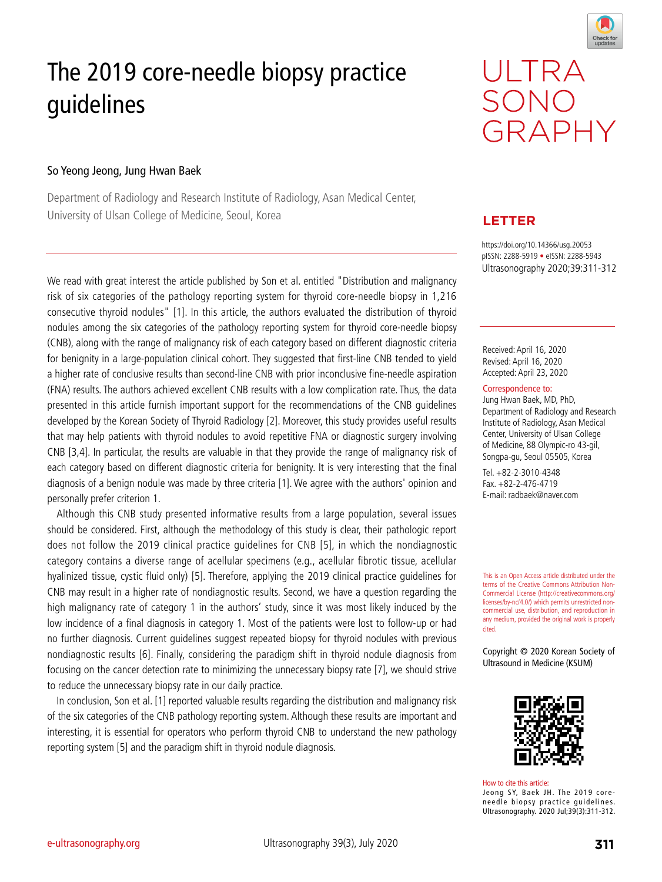

# The 2019 core-needle biopsy practice guidelines

### So Yeong Jeong, Jung Hwan Baek

Department of Radiology and Research Institute of Radiology, Asan Medical Center, University of Ulsan College of Medicine, Seoul, Korea



## **LETTER**

https://doi.org/10.14366/usg.20053 pISSN: 2288-5919 • eISSN: 2288-5943 Ultrasonography 2020;39:311-312

Received: April 16, 2020 Revised: April 16, 2020 Accepted: April 23, 2020

#### Correspondence to:

Jung Hwan Baek, MD, PhD, Department of Radiology and Research Institute of Radiology, Asan Medical Center, University of Ulsan College of Medicine, 88 Olympic-ro 43-gil, Songpa-gu, Seoul 05505, Korea

Tel. +82-2-3010-4348 Fax. +82-2-476-4719 E-mail: radbaek@naver.com

This is an Open Access article distributed under the terms of the Creative Commons Attribution Non-Commercial License (http://creativecommons.org/ licenses/by-nc/4.0/) which permits unrestricted noncommercial use, distribution, and reproduction in any medium, provided the original work is properly cited.

Copyright © 2020 Korean Society of Ultrasound in Medicine (KSUM)



How to cite this article: Jeong SY, Baek JH. The 2019 coreneedle biopsy practice guidelines. Ultrasonography. 2020 Jul;39(3):311-312.

We read with great interest the article published by Son et al. entitled "Distribution and malignancy risk of six categories of the pathology reporting system for thyroid core-needle biopsy in 1,216 consecutive thyroid nodules" [1]. In this article, the authors evaluated the distribution of thyroid nodules among the six categories of the pathology reporting system for thyroid core-needle biopsy (CNB), along with the range of malignancy risk of each category based on different diagnostic criteria for benignity in a large-population clinical cohort. They suggested that first-line CNB tended to yield a higher rate of conclusive results than second-line CNB with prior inconclusive fine-needle aspiration (FNA) results. The authors achieved excellent CNB results with a low complication rate. Thus, the data presented in this article furnish important support for the recommendations of the CNB guidelines developed by the Korean Society of Thyroid Radiology [2]. Moreover, this study provides useful results that may help patients with thyroid nodules to avoid repetitive FNA or diagnostic surgery involving CNB [3,4]. In particular, the results are valuable in that they provide the range of malignancy risk of each category based on different diagnostic criteria for benignity. It is very interesting that the final diagnosis of a benign nodule was made by three criteria [1]. We agree with the authors' opinion and personally prefer criterion 1.

Although this CNB study presented informative results from a large population, several issues should be considered. First, although the methodology of this study is clear, their pathologic report does not follow the 2019 clinical practice guidelines for CNB [5], in which the nondiagnostic category contains a diverse range of acellular specimens (e.g., acellular fibrotic tissue, acellular hyalinized tissue, cystic fluid only) [5]. Therefore, applying the 2019 clinical practice guidelines for CNB may result in a higher rate of nondiagnostic results. Second, we have a question regarding the high malignancy rate of category 1 in the authors' study, since it was most likely induced by the low incidence of a final diagnosis in category 1. Most of the patients were lost to follow-up or had no further diagnosis. Current guidelines suggest repeated biopsy for thyroid nodules with previous nondiagnostic results [6]. Finally, considering the paradigm shift in thyroid nodule diagnosis from focusing on the cancer detection rate to minimizing the unnecessary biopsy rate [7], we should strive to reduce the unnecessary biopsy rate in our daily practice.

In conclusion, Son et al. [1] reported valuable results regarding the distribution and malignancy risk of the six categories of the CNB pathology reporting system. Although these results are important and interesting, it is essential for operators who perform thyroid CNB to understand the new pathology reporting system [5] and the paradigm shift in thyroid nodule diagnosis.